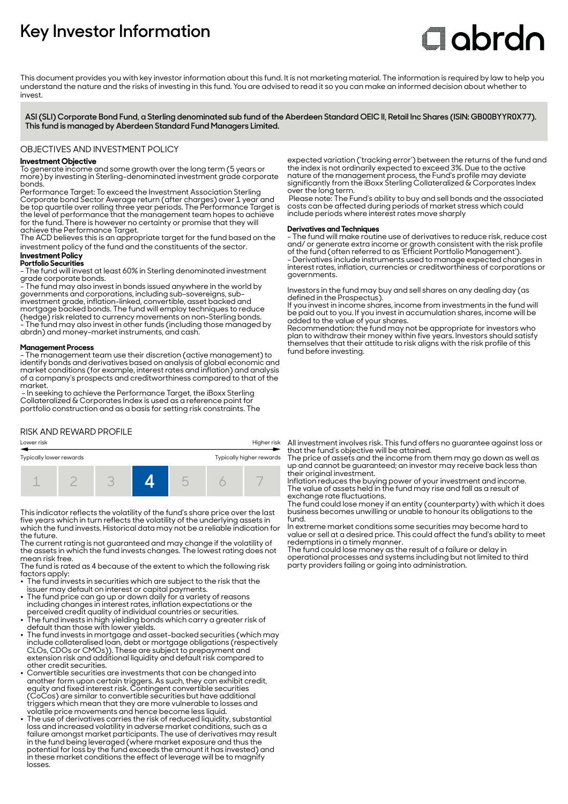# **Key Investor Information**

# **Clobrdn**

This document provides you with key investor information about this fund. It is not marketing material. The information is required by law to help you understand the nature and the risks of investing in this fund. You are advised to read it so you can make an informed decision about whether to invest

**ASI (SLI) Corporate Bond Fund, a Sterling denominated sub fund of the Aberdeen Standard OEIC II, Retail Inc Shares (ISIN: GB00BYYR0X77). This fund is managed by Aberdeen Standard Fund Managers Limited.**

OBJECTIVES AND INVESTMENT POLICY

# **Investment Objective**

To generate income and some growth over the long term (5 years or more) by investing in Sterling-denominated investment grade corporate bonds.

Performance Target: To exceed the Investment Association Sterling Corporate bond Sector Average return (after charges) over 1 year and be top quartile over rolling three year periods. The Performance Target is the level of performance that the management team hopes to achieve for the fund. There is however no certainty or promise that they will achieve the Performance Target.

The ACD believes this is an appropriate target for the fund based on the investment policy of the fund and the constituents of the sector.

#### **Investment Policy Portfolio Securities**

- The fund will invest at least 60% in Sterling denominated investment grade corporate bonds.

- The fund may also invest in bonds issued anywhere in the world by  $\,$ governments and corporations, including sub-sovereigns, subinvestment grade, inflation-linked, convertible, asset backed and mortgage backed bonds. The fund will employ techniques to reduce (hedge) risk related to currency movements on non-Sterling bonds. - The fund may also invest in other funds (including those managed by abrdn) and money-market instruments, and cash.

#### **Management Process**

- The management team use their discretion (active management) to identify bonds and derivatives based on analysis of global economic and market conditions (for example, interest rates and inflation) and analysis of a company's prospects and creditworthiness compared to that of the market.

 - In seeking to achieve the Performance Target, the iBoxx Sterling Collateralized & Corporates Index is used as a reference point fo portfolio construction and as a basis for setting risk constraints. The

## RISK AND REWARD PROFILE

# Lower risk Higher risk Typically lower rewards Typically higher rewards 1 2 3 **4** 5 6 7

This indicator reflects the volatility of the fund's share price over the last five years which in turn reflects the volatility of the underlying assets in which the fund invests. Historical data may not be a reliable indication for the future.

The current rating is not guaranteed and may change if the volatility of the assets in which the fund invests changes. The lowest rating does not mean risk free.

The fund is rated as 4 because of the extent to which the following risk factors apply:

• The fund invests in securities which are subject to the risk that the

- issuer may default on interest or capital payments. 2 The fund price can go up or down daily for a variety of reasons including changes in interest rates, inflation expectations or the
- perceived credit quality of individual countries or securities. 2 The fund invests in high yielding bonds which carry a greater risk of default than those with lower yields.
- $\bullet~$  The fund invests in mortgage and asset-backed securities (which may include collateralised loan, debt or mortgage obligations (respectively CLOs, CDOs or CMOs)). These are subject to prepayment and extension risk and additional liquidity and default risk compared to other credit securities.
- 2 Convertible securities are investments that can be changed into another form upon certain triggers. As such, they can exhibit credit, equity and fixed interest risk. Contingent convertible securities (CoCos) are similar to convertible securities but have additional triggers which mean that they are more vulnerable to losses and
- volatile price movements and hence become less liquid. 2 The use of derivatives carries the risk of reduced liquidity, substantial loss and increased volatility in adverse market conditions, such as a failure amongst market participants. The use of derivatives may result in the fund being leveraged (where market exposure and thus the potential for loss by the fund exceeds the amount it has invested) and in these market conditions the effect of leverage will be to magnify losses.

expected variation ('tracking error') between the returns of the fund and the index is not ordinarily expected to exceed 3%. Due to the active nature of the management process, the Fund's profile may deviate significantly from the iBoxx Sterling Collateralized & Corporates Index over the long term.

 Please note: The Fund's ability to buy and sell bonds and the associated costs can be affected during periods of market stress which could include periods where interest rates move sharply

## **Derivatives and Techniques**

- The fund will make routine use of derivatives to reduce risk, reduce cost and/ or generate extra income or growth consistent with the risk profile of the fund (often referred to as 'Efficient Portfolio Management'). - Derivatives include instruments used to manage expected changes in interest rates, inflation, currencies or creditworthiness of corporations or governments.

Investors in the fund may buy and sell shares on any dealing day (as defined in the Prospectus).

If you invest in income shares, income from investments in the fund will be paid out to you. If you invest in accumulation shares, income will be added to the value of your shares.

Recommendation: the fund may not be appropriate for investors who plan to withdraw their money within five years. Investors should satisfy themselves that their attitude to risk aligns with the risk profile of this fund before investing.

All investment involves risk. This fund offers no guarantee against loss or that the fund's objective will be attained.

The price of assets and the income from them may go down as well as up and cannot be guaranteed; an investor may receive back less than their original investment.

Inflation reduces the buying power of your investment and income. The value of assets held in the fund may rise and fall as a result of exchange rate fluctuations.

The fund could lose money if an entity (counterparty) with which it does business becomes unwilling or unable to honour its obligations to the fund.

In extreme market conditions some securities may become hard to value or sell at a desired price. This could affect the fund's ability to meet redemptions in a timely manner.

The fund could lose money as the result of a failure or delay in operational processes and systems including but not limited to third party providers failing or going into administration.